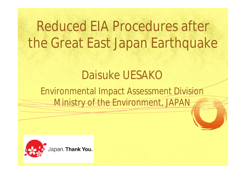# **Reduced EIA Procedures after the Great East Japan Earthquake**

#### **Daisuke UESAKO**

Environmental Impact Assessment Division Ministry of the Environment, JAPAN

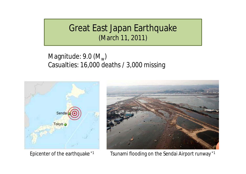Great East Japan Earthquake (March 11, 2011)

Magnitude: 9.0 (M $_{\textrm{\tiny{W}}}$ ) Casualties: 16,000 deaths / 3,000 missing





Epicenter of the earthquake<sup>\*1</sup> Tsunami flooding on the Sendai Airport runway<sup>\*1</sup>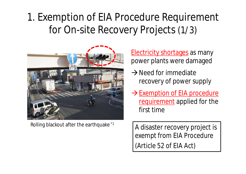#### **1. Exemption of EIA Procedure Requirement for On-site Recovery Projects (1/3)**



Rolling blackout after the earthquake \*1

Electricity shortages as many power plants were damaged

- $\rightarrow$  Need for immediate recovery of power supply
- → Exemption of EIA procedure requirement applied for the first time

A disaster recovery project is exempt from EIA Procedure (Article 52 of EIA Act)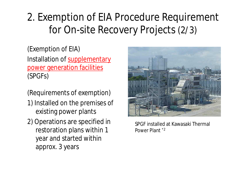### **2. Exemption of EIA Procedure Requirement for On-site Recovery Projects (2/3)**

(Exemption of EIA) Installation of supplementary power generation facilities (SPGFs)

(Requirements of exemption)

- 1) Installed on the premises of existing power plants
- 2) Operations are specified in restoration plans within 1 year and started within approx. 3 years



SPGF installed at Kawasaki Thermal Power Plant \*2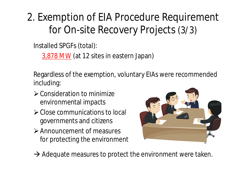**2. Exemption of EIA Procedure Requirement for On-site Recovery Projects (3/3)**

Installed SPGFs (total):

3,878 MW (at 12 sites in eastern Japan)

Regardless of the exemption, voluntary EIAs were recommended including:

- $\triangleright$  Consideration to minimize environmental impacts
- **≻ Close communications to local** governments and citizens
- Announcement of measures for protecting the environment



 $\rightarrow$  Adequate measures to protect the environment were taken.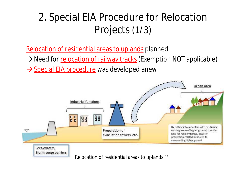### **2. Special EIA Procedure for Relocation Projects (1/3)**

Relocation of residential areas to uplands planned

→ Need for relocation of railway tracks (Exemption NOT applicable)

 $\rightarrow$  Special EIA procedure was developed anew



Relocation of residential areas to uplands \*3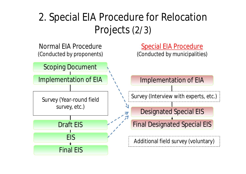### **2. Special EIA Procedure for Relocation Projects (2/3)**

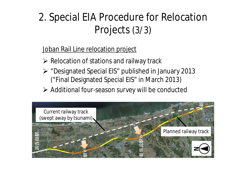#### **2. Special EIA Procedure for Relocation Projects (3/3)**

#### Joban Rail Line relocation project

- $\triangleright$  Relocation of stations and railway track
- "Designated Special EIS" published in January 2013 ("Final Designated Special EIS" in March 2013)
- Additional four-season survey will be conducted

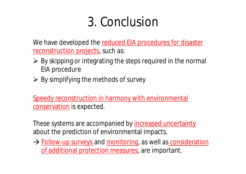## **3. Conclusion**

We have developed the reduced EIA procedures for disaster reconstruction projects, such as:

- $\triangleright$  By skipping or integrating the steps required in the normal EIA procedure
- $\triangleright$  By simplifying the methods of survey

Speedy reconstruction in harmony with environmental conservation is expected.

These systems are accompanied by increased uncertainty about the prediction of environmental impacts.

 $\rightarrow$  Follow-up surveys and monitoring, as well as consideration of additional protection measures, are important.